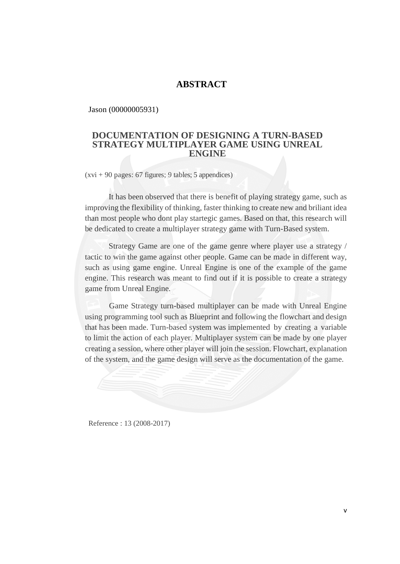## **ABSTRACT**

Jason (00000005931)

## **DOCUMENTATION OF DESIGNING A TURN-BASED STRATEGY MULTIPLAYER GAME USING UNREAL ENGINE**

 $(xvi + 90$  pages: 67 figures; 9 tables; 5 appendices)

It has been observed that there is benefit of playing strategy game, such as improving the flexibility of thinking, faster thinking to create new and briliant idea than most people who dont play startegic games. Based on that, this research will be dedicated to create a multiplayer strategy game with Turn-Based system.

Strategy Game are one of the game genre where player use a strategy / tactic to win the game against other people. Game can be made in different way, such as using game engine. Unreal Engine is one of the example of the game engine. This research was meant to find out if it is possible to create a strategy game from Unreal Engine*.*

Game Strategy turn-based multiplayer can be made with Unreal Engine using programming tool such as Blueprint and following the flowchart and design that has been made. Turn-based system was implemented by creating a variable to limit the action of each player. Multiplayer system can be made by one player creating a session, where other player will join the session. Flowchart*,* explanation of the system, and the game design will serve as the documentation of the game.



Reference : 13 (2008-2017)